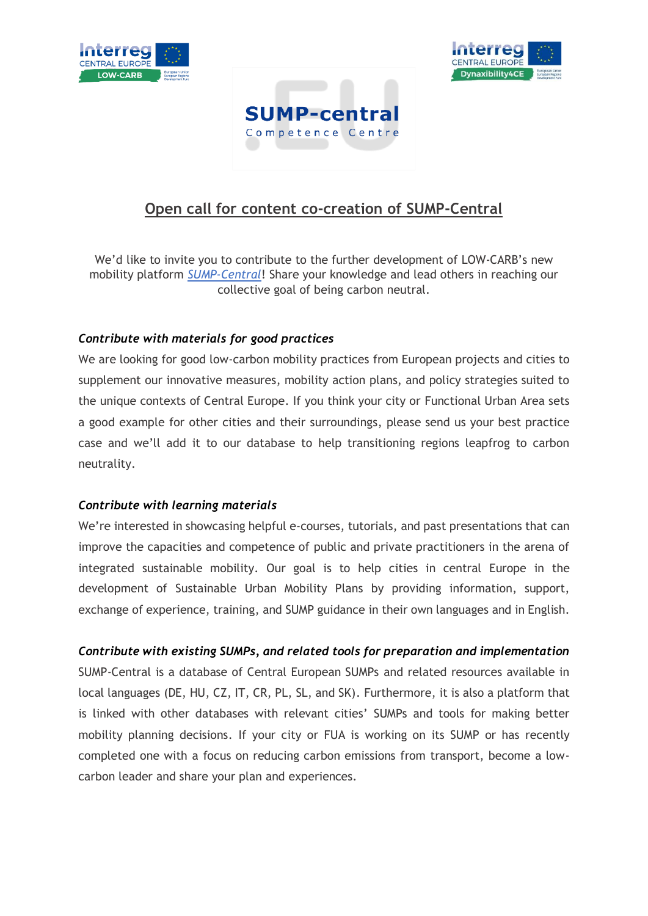





# **Open call for content co-creation of SUMP-Central**

We'd like to invite you to contribute to the further development of LOW-CARB's new mobility platform *[SUMP-Central](https://www.interreg-central.eu/Content.Node/sump-central.html)*! Share your knowledge and lead others in reaching our collective goal of being carbon neutral.

## *Contribute with materials for good practices*

We are looking for good low-carbon mobility practices from European projects and cities to supplement our innovative measures, mobility action plans, and policy strategies suited to the unique contexts of Central Europe. If you think your city or Functional Urban Area sets a good example for other cities and their surroundings, please send us your best practice case and we'll add it to our database to help transitioning regions leapfrog to carbon neutrality.

## *Contribute with learning materials*

We're interested in showcasing helpful e-courses, tutorials, and past presentations that can improve the capacities and competence of public and private practitioners in the arena of integrated sustainable mobility. Our goal is to help cities in central Europe in the development of Sustainable Urban Mobility Plans by providing information, support, exchange of experience, training, and SUMP guidance in their own languages and in English.

## *Contribute with existing SUMPs, and related tools for preparation and implementation*

SUMP-Central is a database of Central European SUMPs and related resources available in local languages (DE, HU, CZ, IT, CR, PL, SL, and SK). Furthermore, it is also a platform that is linked with other databases with relevant cities' SUMPs and tools for making better mobility planning decisions. If your city or FUA is working on its SUMP or has recently completed one with a focus on reducing carbon emissions from transport, become a lowcarbon leader and share your plan and experiences.